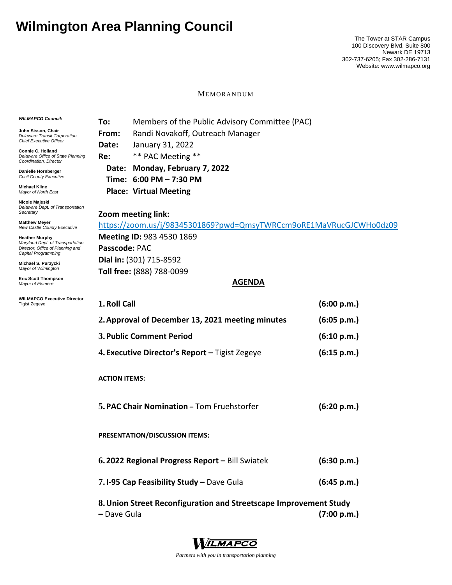## **Wilmington Area Planning Council**

The Tower at STAR Campus 100 Discovery Blvd, Suite 800 Newark DE 19713 302-737-6205; Fax 302-286-7131 Website: www.wilmapco.org

MEMORANDUM

## *WILMAPCO Council:* **John Sisson, Chair**  *Delaware Transit Corporation Chief Executive Officer* **Connie C. Holland**  *Delaware Office of State Planning Coordination, Director* **Danielle Hornberger** *Cecil County Executive*  **Michael Kline**  *Mayor of North East*  **Nicole Majeski**  *Delaware Dept. of Transportation Secretary* **Matthew Meyer**  *New Castle County Executive*  **Heather Murphy**  *Maryland Dept. of Transportation Director, Office of Planning and Capital Programming*  **Michael S. Purzycki**  *Mayor of Wilmington* **Eric Scott Thompson**  *Mayor of Elsmere*  **WILMAPCO Executive Director**  Tigist Zegeye **To:** Members of the Public Advisory Committee (PAC) **From:** Randi Novakoff, Outreach Manager **Date:** January 31, 2022 **Re:** \*\* PAC Meeting \*\* **Date: Monday, February 7, 2022 Time: 6:00 PM – 7:30 PM Place: Virtual Meeting Zoom meeting link:**  https://zoom.us/j/98345301869?pwd=QmsyTWRCcm9oRE1MaVRucGJCWHo0dz09 **Meeting ID:** 983 4530 1869 **Passcode:** PAC **Dial in:** (301) 715‐8592 **Toll free:** (888) 788‐0099 **AGENDA 1.Roll Call (6:00 p.m.) 2.Approval of December 13, 2021 meeting minutes (6:05 p.m.) 3.Public Comment Period (6:10 p.m.) 4. Executive Director's Report –** Tigist Zegeye  **(6:15 p.m.) ACTION ITEMS: 5.PAC Chair Nomination –** Tom Fruehstorfer **(6:20 p.m.) PRESENTATION/DISCUSSION ITEMS: 6. 2022 Regional Progress Report –** Bill Swiatek **(6:30 p.m.) 7.I‐95 Cap Feasibility Study –** Dave Gula  **(6:45 p.m.) 8.Union Street Reconfiguration and Streetscape Improvement Study –** Dave Gula  **(7:00 p.m.)**



*Partners with you in transportation planning*